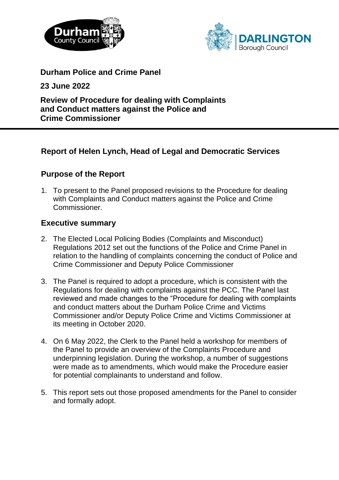



**Durham Police and Crime Panel** 

**23 June 2022**

**Review of Procedure for dealing with Complaints and Conduct matters against the Police and Crime Commissioner**

# **Report of Helen Lynch, Head of Legal and Democratic Services**

# **Purpose of the Report**

1. To present to the Panel proposed revisions to the Procedure for dealing with Complaints and Conduct matters against the Police and Crime Commissioner.

# **Executive summary**

- 2. The Elected Local Policing Bodies (Complaints and Misconduct) Regulations 2012 set out the functions of the Police and Crime Panel in relation to the handling of complaints concerning the conduct of Police and Crime Commissioner and Deputy Police Commissioner
- 3. The Panel is required to adopt a procedure, which is consistent with the Regulations for dealing with complaints against the PCC. The Panel last reviewed and made changes to the "Procedure for dealing with complaints and conduct matters about the Durham Police Crime and Victims Commissioner and/or Deputy Police Crime and Victims Commissioner at its meeting in October 2020.
- 4. On 6 May 2022, the Clerk to the Panel held a workshop for members of the Panel to provide an overview of the Complaints Procedure and underpinning legislation. During the workshop, a number of suggestions were made as to amendments, which would make the Procedure easier for potential complainants to understand and follow.
- 5. This report sets out those proposed amendments for the Panel to consider and formally adopt.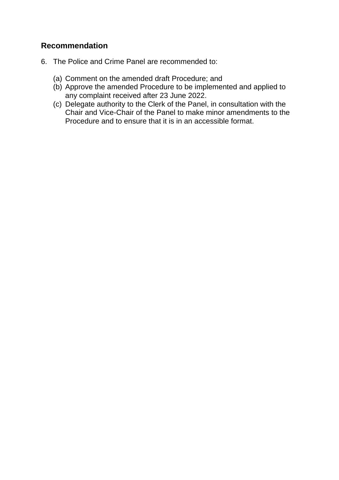# **Recommendation**

- 6. The Police and Crime Panel are recommended to:
	- (a) Comment on the amended draft Procedure; and
	- (b) Approve the amended Procedure to be implemented and applied to any complaint received after 23 June 2022.
	- (c) Delegate authority to the Clerk of the Panel, in consultation with the Chair and Vice-Chair of the Panel to make minor amendments to the Procedure and to ensure that it is in an accessible format.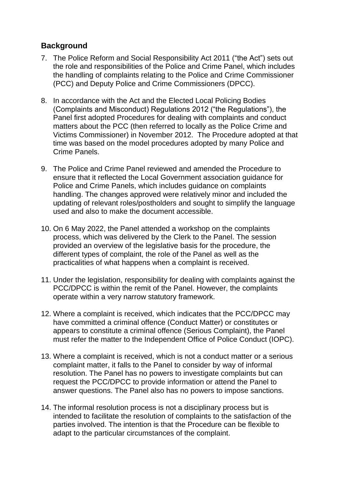# **Background**

- 7. The Police Reform and Social Responsibility Act 2011 ("the Act") sets out the role and responsibilities of the Police and Crime Panel, which includes the handling of complaints relating to the Police and Crime Commissioner (PCC) and Deputy Police and Crime Commissioners (DPCC).
- 8. In accordance with the Act and the Elected Local Policing Bodies (Complaints and Misconduct) Regulations 2012 ("the Regulations"), the Panel first adopted Procedures for dealing with complaints and conduct matters about the PCC (then referred to locally as the Police Crime and Victims Commissioner) in November 2012. The Procedure adopted at that time was based on the model procedures adopted by many Police and Crime Panels.
- 9. The Police and Crime Panel reviewed and amended the Procedure to ensure that it reflected the Local Government association guidance for Police and Crime Panels, which includes guidance on complaints handling. The changes approved were relatively minor and included the updating of relevant roles/postholders and sought to simplify the language used and also to make the document accessible.
- 10. On 6 May 2022, the Panel attended a workshop on the complaints process, which was delivered by the Clerk to the Panel. The session provided an overview of the legislative basis for the procedure, the different types of complaint, the role of the Panel as well as the practicalities of what happens when a complaint is received.
- 11. Under the legislation, responsibility for dealing with complaints against the PCC/DPCC is within the remit of the Panel. However, the complaints operate within a very narrow statutory framework.
- 12. Where a complaint is received, which indicates that the PCC/DPCC may have committed a criminal offence (Conduct Matter) or constitutes or appears to constitute a criminal offence (Serious Complaint), the Panel must refer the matter to the Independent Office of Police Conduct (IOPC).
- 13. Where a complaint is received, which is not a conduct matter or a serious complaint matter, it falls to the Panel to consider by way of informal resolution. The Panel has no powers to investigate complaints but can request the PCC/DPCC to provide information or attend the Panel to answer questions. The Panel also has no powers to impose sanctions.
- 14. The informal resolution process is not a disciplinary process but is intended to facilitate the resolution of complaints to the satisfaction of the parties involved. The intention is that the Procedure can be flexible to adapt to the particular circumstances of the complaint.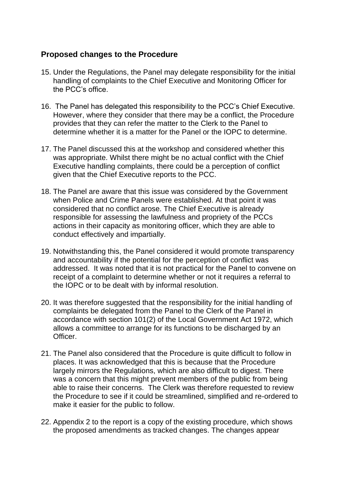# **Proposed changes to the Procedure**

- 15. Under the Regulations, the Panel may delegate responsibility for the initial handling of complaints to the Chief Executive and Monitoring Officer for the PCC's office.
- 16. The Panel has delegated this responsibility to the PCC's Chief Executive. However, where they consider that there may be a conflict, the Procedure provides that they can refer the matter to the Clerk to the Panel to determine whether it is a matter for the Panel or the IOPC to determine.
- 17. The Panel discussed this at the workshop and considered whether this was appropriate. Whilst there might be no actual conflict with the Chief Executive handling complaints, there could be a perception of conflict given that the Chief Executive reports to the PCC.
- 18. The Panel are aware that this issue was considered by the Government when Police and Crime Panels were established. At that point it was considered that no conflict arose. The Chief Executive is already responsible for assessing the lawfulness and propriety of the PCCs actions in their capacity as monitoring officer, which they are able to conduct effectively and impartially.
- 19. Notwithstanding this, the Panel considered it would promote transparency and accountability if the potential for the perception of conflict was addressed. It was noted that it is not practical for the Panel to convene on receipt of a complaint to determine whether or not it requires a referral to the IOPC or to be dealt with by informal resolution.
- 20. It was therefore suggested that the responsibility for the initial handling of complaints be delegated from the Panel to the Clerk of the Panel in accordance with section 101(2) of the Local Government Act 1972, which allows a committee to arrange for its functions to be discharged by an **Officer**
- 21. The Panel also considered that the Procedure is quite difficult to follow in places. It was acknowledged that this is because that the Procedure largely mirrors the Regulations, which are also difficult to digest. There was a concern that this might prevent members of the public from being able to raise their concerns. The Clerk was therefore requested to review the Procedure to see if it could be streamlined, simplified and re-ordered to make it easier for the public to follow.
- 22. Appendix 2 to the report is a copy of the existing procedure, which shows the proposed amendments as tracked changes. The changes appear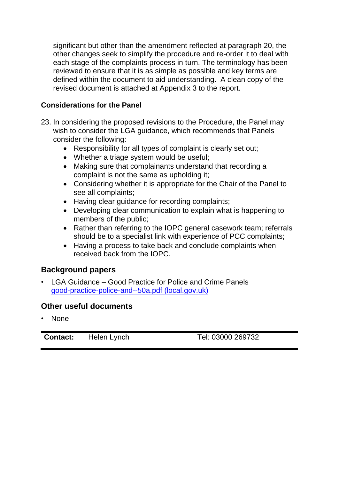significant but other than the amendment reflected at paragraph 20, the other changes seek to simplify the procedure and re-order it to deal with each stage of the complaints process in turn. The terminology has been reviewed to ensure that it is as simple as possible and key terms are defined within the document to aid understanding. A clean copy of the revised document is attached at Appendix 3 to the report.

### **Considerations for the Panel**

- 23. In considering the proposed revisions to the Procedure, the Panel may wish to consider the LGA guidance, which recommends that Panels consider the following:
	- Responsibility for all types of complaint is clearly set out;
	- Whether a triage system would be useful;
	- Making sure that complainants understand that recording a complaint is not the same as upholding it;
	- Considering whether it is appropriate for the Chair of the Panel to see all complaints;
	- Having clear guidance for recording complaints;
	- Developing clear communication to explain what is happening to members of the public;
	- Rather than referring to the IOPC general casework team; referrals should be to a specialist link with experience of PCC complaints;
	- Having a process to take back and conclude complaints when received back from the IOPC.

# **Background papers**

• LGA Guidance – Good Practice for Police and Crime Panels [good-practice-police-and--50a.pdf \(local.gov.uk\)](https://www.local.gov.uk/sites/default/files/documents/good-practice-police-and--50a.pdf#:~:text=Over%20the%20past%20two%20years%2C%20police%20and%20crime,their%20wider%20community%20safety%20and%20local%20resilience%20responsibilities.)

# **Other useful documents**

• None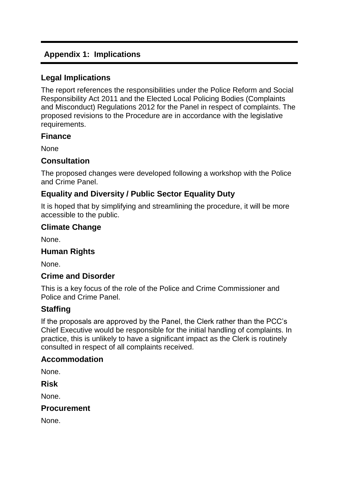# **Appendix 1: Implications**

### **Legal Implications**

The report references the responsibilities under the Police Reform and Social Responsibility Act 2011 and the Elected Local Policing Bodies (Complaints and Misconduct) Regulations 2012 for the Panel in respect of complaints. The proposed revisions to the Procedure are in accordance with the legislative requirements.

#### **Finance**

None

### **Consultation**

The proposed changes were developed following a workshop with the Police and Crime Panel.

# **Equality and Diversity / Public Sector Equality Duty**

It is hoped that by simplifying and streamlining the procedure, it will be more accessible to the public.

# **Climate Change**

None.

# **Human Rights**

None.

# **Crime and Disorder**

This is a key focus of the role of the Police and Crime Commissioner and Police and Crime Panel.

# **Staffing**

If the proposals are approved by the Panel, the Clerk rather than the PCC's Chief Executive would be responsible for the initial handling of complaints. In practice, this is unlikely to have a significant impact as the Clerk is routinely consulted in respect of all complaints received.

# **Accommodation**

None.

**Risk**

None.

#### **Procurement**

None.